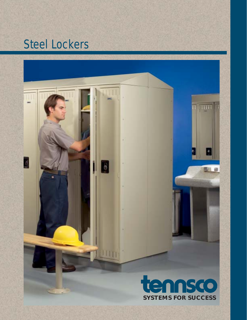# Steel Lockers

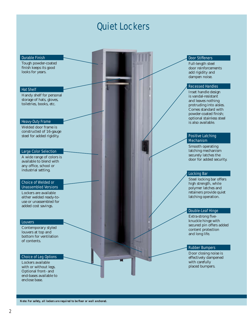## Quiet Lockers

#### Durable Finish

Tough powder-coated finish keeps its good looks for years.

#### Hat Shelf

Handy shelf for personal storage of hats, gloves, toiletries, books, etc.

#### Heavy-Duty Frame

Welded door frame is constructed of 16-gauge steel for added rigidity.

#### Large Color Selection

A wide range of colors is available to blend with any office, school or industrial setting.

#### Choice of Welded or Unassembled Versions

Lockers are available either welded ready-touse or unassembled for added cost savings.

#### Louvers

Contemporary styled louvers at top and bottom for ventilation of contents.

#### Choice of Leg Options

Lockers available with or without legs. Optional front- and end-bases available to enclose base.

#### Door Stiffeners

Full-length steel door reinforcements add rigidity and dampen noise.

#### Recessed Handles

Inset handle design is vandal-resistant and leaves nothing protruding into aisles. Comes standard with powder-coated finish; optional stainless steel is also available.

#### Positive Latching **Mechanism**

Smooth operating latching mechanism securely latches the door for added security.

#### Locking Bar

Steel locking bar offers high strength, while polymer latches and retainers provide quiet latching operation.

#### Double-Leaf Hinge

Extra-strong fiveknuckle hinge with secured pin offers added content protection and long life.

#### Rubber Bumpers

Door closing noise is effectively dampened with carefully placed bumpers.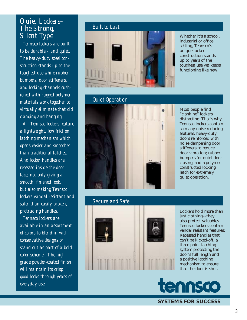## Quiet Lockers–<br>The Streng *The Strong, Silent Type*

*Tennsco lockers are built to be durable – and quiet. The heavy-duty steel construction stands up to the toughest use while rubber bumpers, door stiffeners, and locking channels cushioned with rugged polymer materials work together to virtually eliminate that old clanging and banging.*

*All Tennsco lockers feature a lightweight, low friction latching mechanism which opens easier and smoother than traditional latches. And locker handles are recessed inside the door face, not only giving a smooth, fi nished look, but also making Tennsco lockers vandal resistant and safer than easily broken, protruding handles.*

*Tennsco lockers are available in an assortment of colors to blend in with conservative designs or stand out as part of a bold color scheme. The high grade powder-coated fi nish will maintain its crisp good looks through years of everyday use.*



## Quiet Operation



### Secure and Safe



Lockers hold more than just clothing––they also protect valuables. Tennsco lockers contain vandal resistant features: Recessed handles that can't be kicked-off, a three-point latching system protecting the door's full length and a positive latching mechanism to ensure that the door is shut.



**SYSTEMS FOR SUCCESS**

Whether it's a school, industrial or office setting, Tennsco's unique locker construction stands up to years of the toughest use yet keeps functioning like new.

Most people find "clanking" lockers distracting. That's why Tennsco lockers contain so many noise reducing features: heavy-duty doors reinforced with noise dampening door stiffeners to reduce door vibration; rubber bumpers for quiet door closing; and a polymer constructed locking latch for extremely quiet operation.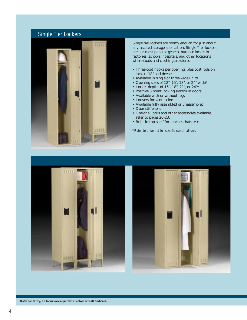## Single Tier Lockers



Single tier lockers are roomy enough for just about any secured storage application. Single Tier lockers are our most popular general purpose locker in factories, schools, hospitals, and other locations where coats and clothing are stored:

- Three coat hooks per opening, plus coat rods on lockers 18" and deeper
- Available in single or three-wide units
- Opening sizes of 12", 15", 18", or 24" wide\*
- Locker depths of 15", 18", 21", or 24"\*
- Positive 3 point locking system in doors
- Available with or without legs
- Louvers for ventilation
- Available fully assembled or unassembled
- Door stiffeners
- Optional locks and other accessories available, refer to pages 20-23.
- Built-in top shelf for lunches, hats, etc.

*\*Refer to price list for specifi c combinations.*





*Note: For safety, all lockers are required to be floor or wall anchored.*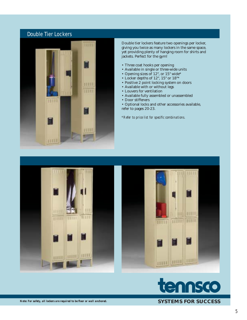## Double Tier Lockers



Double tier lockers feature two openings per locker, giving you twice as many lockers in the same space, yet providing plenty of hanging room for shirts and jackets. Perfect for the gym!

- Three coat hooks per opening
- Available in single or three-wide units
- Opening sizes of 12", or 15" wide\*
- Locker depths of 12", 15" or 18"\*
- Positive 2 point locking system on doors
- Available with or without legs
- Louvers for ventilation
- Available fully assembled or unassembled
- Door stiffeners
- Optional locks and other accessories available, refer to pages 20-23.

*\*Refer to price list for specifi c combinations.*





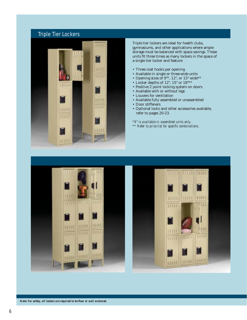## Triple Tier Lockers



Triple tier lockers are ideal for health clubs, gymnasiums, and other applications where ample storage must be balanced with space savings. These units fit three times as many lockers in the space of a single tier locker and feature:

- Three coat hooks per opening
- Available in single or three-wide units
- Opening sizes of 9"\*, 12", or 15" wide\*\*
- Locker depths of 12", 15" or 18"\*\*
- Positive 2 point locking system on doors
- Available with or without legs
- Louvers for ventilation
- Available fully assembled or unassembled
- Door stiffeners
- Optional locks and other accessories available, refer to pages 20-23.

*\*9" is available in assembled units only.*

 $*$ <sup>\*</sup> Refer to price list for specific combinations.





*Note: For safety, all lockers are required to be floor or wall anchored.*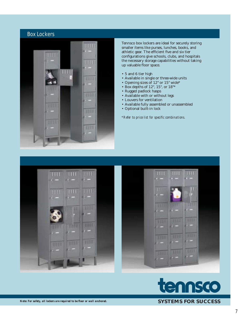## Box Lockers



Tennsco box lockers are ideal for securely storing smaller items like purses, lunches, books, and athletic gear. The efficient five and six tier configurations give schools, clubs, and hospitals the necessary storage capabilities without taking up valuable floor space.

- 5 and 6 tier high
- Available in single or three-wide units
- Opening sizes of 12" or 15" wide\*
- Box depths of 12", 15", or 18"\*
- Rugged padlock hasps
- Available with or without legs
- Louvers for ventilation
- Available fully assembled or unassembled
- Optional built-in lock

*\*Refer to price list for specifi c combinations.*





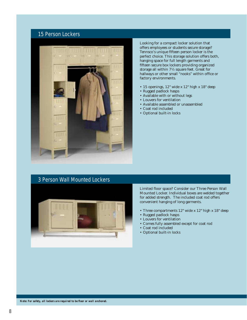### 15 Person Lockers



Looking for a compact locker solution that offers employees or students secure storage? Tennsco's unique fifteen person locker is the perfect choice. This storage solution offers both, hanging space for full length garments and fifteen secure box lockers providing organized storage all within 7½ square feet. Great for hallways or other small "nooks" within office or factory environments.

- 15 openings, 12" wide x 12" high x 18" deep
- Rugged padlock hasps
- Available with or without legs
- Louvers for ventilation
- Available assembled or unassembled
- Coat rod included
- Optional built-in locks

## 3 Person Wall Mounted Lockers



Limited floor space? Consider our Three Person Wall Mounted Locker. Individual boxes are welded together for added strength. The included coat rod offers convenient hanging of long garments.

- Three compartments 12" wide x 12" high x 18" deep
- Rugged padlock hasps
- Louvers for ventilation
- Comes fully assembled except for coat rod
- Coat rod included
- Optional built-in locks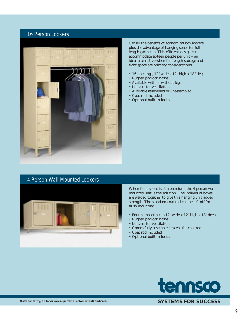## 16 Person Lockers



Get all the benefits of economical box lockers plus the advantage of hanging space for full length garments! This efficient design can accommodate sixteen people per unit – an ideal alternative when full length storage and tight space are primary considerations.

- 16 openings, 12" wide x 12" high x 18" deep
- Rugged padlock hasps
- Available with or without legs
- Louvers for ventilation
- Available assembled or unassembled
- Coat rod included
- Optional built-in locks

## 4 Person Wall Mounted Lockers



When floor space is at a premium, the 4 person wall mounted unit is the solution. The individual boxes are welded together to give this hanging unit added strength. The standard coat rod can be left off for flush mounting.

- Four compartments 12" wide x 12" high x 18" deep
- Rugged padlock hasps
- Louvers for ventilation
- Comes fully assembled except for coat rod
- Coat rod included
- Optional built-in locks

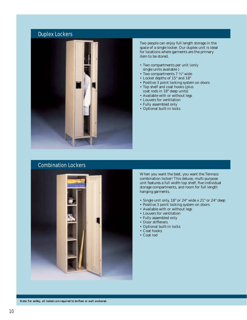## Duplex Lockers



Two people can enjoy full length storage in the space of a single locker. Our duplex unit is ideal for locations where garments are the primary item to be stored.

- Two compartments per unit (only single units available )
- Two compartments 7 ½" wide
- Locker depths of 15" and 18"
- Positive 3 point locking system on doors
- Top shelf and coat hooks (plus coat rods in 18" deep units)
- Available with or without legs
- Louvers for ventilation
- Fully assembled only
- Optional built-in locks

### Combination Lockers



When you want the best, you want the Tennsco combination locker! This deluxe, multi-purpose unit features a full width top shelf, five individual storage compartments, and room for full length hanging garments.

- Single unit only, 18" or 24" wide x 21" or 24" deep
- Positive 3 point locking system on doors
- Available with or without legs
- Louvers for ventilation
- Fully assembled only
- Door stiffeners
- Optional built-in locks
- Coat hooks
- Coat rod

*Note: For safety, all lockers are required to be floor or wall anchored.*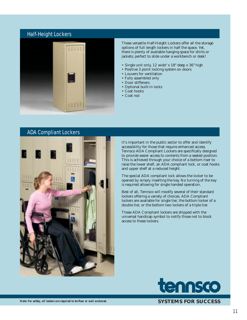## Half-Height Lockers



These versatile Half-Height Lockers offer all the storage options of full length lockers in half the space. Yet, there is plenty of available hanging space for shirts or jackets; perfect to slide under a workbench or desk!

- Single unit only, 12 wide" x 18" deep x 36" high
- Positive 3 point locking system on doors
- Louvers for ventilation
- Fully assembled only
- Door stiffeners
- Optional built-in locks
- Coat hooks • Coat rod



It's important in the public sector to offer and identify accessibility for those that require enhanced access. Tennsco ADA Compliant Lockers are specifically designed to provide easier access to contents from a seated position. This is achieved through your choice of a bottom riser to raise the lower shelf, an ADA compliant lock, or coat hooks and upper shelf at a reduced height.

The special ADA compliant lock allows the locker to be opened by simply inserting the key. No turning of the key is required allowing for single handed operation.

Best of all, Tennsco will modify several of their standard lockers offering a variety of choices. ADA Compliant lockers are available for single tier, the bottom locker of a double tier, or the bottom two lockers of a triple tier.

These ADA Compliant lockers are shipped with the universal handicap symbol to notify those not to block access to these lockers.

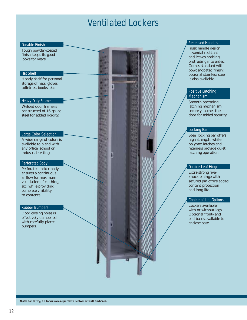## Ventilated Lockers

#### Durable Finish

Tough powder-coated finish keeps its good looks for years.

### Hat Shelf

Handy shelf for personal storage of hats, gloves, toiletries, books, etc.

#### Heavy-Duty Frame

Welded door frame is constructed of 16-gauge steel for added rigidity.

#### Large Color Selection

A wide range of colors is available to blend with any office, school or industrial setting.

#### Perforated Body

Perforated locker body ensures a continuous airflow for maximum ventilation of clothing, etc. while providing complete visibility to contents.

#### Rubber Bumpers

Door closing noise is effectively dampened with carefully placed bumpers.

#### Recessed Handles

Inset handle design is vandal-resistant and leaves nothing protruding into aisles. Comes standard with powder-coated finish; optional stainless steel is also available.

#### Positive Latching Mechanism

Smooth operating latching mechanism securely latches the door for added security.

#### Locking Bar

Steel locking bar offers high strength, while polymer latches and retainers provide quiet latching operation.

#### Double-Leaf Hinge

Extra-strong fiveknuckle hinge with secured pin offers added content protection and long life.

### Choice of Leg Options

Lockers available with or without legs. Optional front- and end-bases available to enclose base.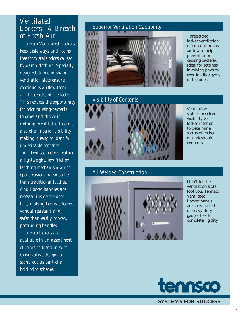## *Ventilated Lockers– A Breath of Fresh Air*

*Tennsco Ventilated Lockers keep aisle ways and rooms free from stale odors caused by damp clothing. Specially designed diamond-shape ventilation slots ensure continuous airfl ow from all three sides of the locker. This reduces the opportunity for odor causing-bacteria to grow and thrive in clothing. Ventilated Lockers also offer interior visibility making it easy to identify undesirable contents.*

*All Tennsco lockers feature a lightweight, low friction latching mechanism which opens easier and smoother than traditional latches. And Locker handles are recessed inside the door face, making Tennsco lockers vandal resistant and safer than easily broken, protruding handles.*

*Tennsco lockers are available in an assortment of colors to blend in with conservative designs or stand out as part of a bold color scheme.*

## Superior Ventilation Capability



Three-sided locker ventilation offers continuous airflow to help prevent odor causing bacteria. Ideal for settings involving physical exertion like gyms or factories.



### All Welded Construction



Ventilation slots allow clear visibility to locker interior to determine status of locker or undesirable contents.

Don't let the ventilation slots fool you. Tennsco Ventilated Locker panels are constructed of heavy-duty gauge steel for complete rigidity.

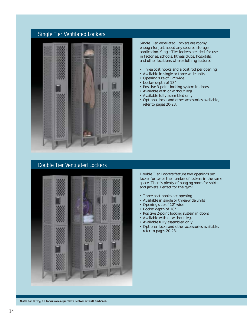## Single Tier Ventilated Lockers



Single Tier Ventilated Lockers are roomy enough for just about any secured storage application. Single Tier lockers are ideal for use in factories, schools, fitness clubs, hospitals, and other locations where clothing is stored.

- Three coat hooks and a coat rod per opening
- Available in single or three-wide units
- Opening size of 12" wide
- Locker depth of 18"
- Positive 3-point locking system in doors
- Available with or without legs
- Available fully assembled only
- Optional locks and other accessories available, refer to pages 20-23.

## Double Tier Ventilated Lockers



Double Tier Lockers feature two openings per locker for twice the number of lockers in the same space. There's plenty of hanging room for shirts and jackets. Perfect for the gym!

- Three coat hooks per opening
- Available in single or three-wide units
- Opening size of 12" wide
- Locker depth of 18"
- Positive 2-point locking system in doors
- Available with or without legs
- Available fully assembled only
- Optional locks and other accessories available, refer to pages 20-23.

*Note: For safety, all lockers are required to be floor or wall anchored.*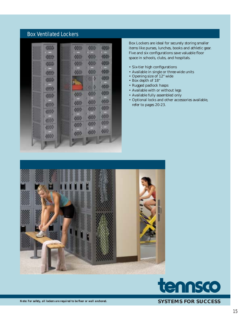## Box Ventilated Lockers



Box Lockers are ideal for securely storing smaller items like purses, lunches, books and athletic gear. Five and six configurations save valuable floor space in schools, clubs, and hospitals.

- Six-tier high configurations
- Available in single or three-wide units
- Opening size of 12" wide
- Box depth of 18"
- Rugged padlock hasps
- Available with or without legs
- Available fully assembled only
- Optional locks and other accessories available, refer to pages 20-23.





**SYSTEMS FOR SUCCESS**

*Note: For safety, all lockers are required to be floor or wall anchored.*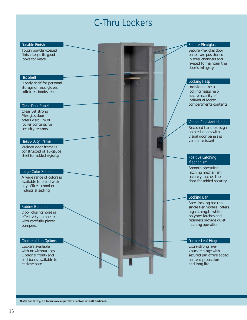# C-Thru Lockers

| <b>Durable Finish</b><br>Tough powder-coated<br>finish keeps its good<br>looks for years.                                                    |  |  | <b>Secure Plexiglas</b><br>Secure Plexiglas door<br>panels are positioned<br>in steel channels and<br>riveted to maintain the<br>door's integrity.   |
|----------------------------------------------------------------------------------------------------------------------------------------------|--|--|------------------------------------------------------------------------------------------------------------------------------------------------------|
| <b>Hat Shelf</b>                                                                                                                             |  |  |                                                                                                                                                      |
| Handy shelf for personal<br>storage of hats, gloves,<br>toiletries, books, etc.                                                              |  |  | <b>Locking Hasp</b><br>Individual metal<br>locking hasps help<br>assure security of<br>individual locker                                             |
| <b>Clear Door Panel</b><br>Clear yet strong<br>Plexiglas door<br>offers visibility of                                                        |  |  | compartments contents.                                                                                                                               |
| locker contents for<br>security reasons.                                                                                                     |  |  | <b>Vandal Resistant Handle</b><br>Recessed handle design<br>on steel doors with<br>visual door panels is<br>vandal-resistant.                        |
| <b>Heavy-Duty Frame</b><br>Welded door frame is<br>constructed of 16-gauge<br>steel for added rigidity.                                      |  |  | <b>Positive Latching</b>                                                                                                                             |
| <b>Large Color Selection</b><br>A wide range of colors is<br>available to blend with<br>any office, school or<br>industrial setting.         |  |  | <b>Mechanism</b><br>Smooth operating<br>latching mechanism<br>securely latches the<br>door for added security.                                       |
|                                                                                                                                              |  |  | <b>Locking Bar</b>                                                                                                                                   |
| <b>Rubber Bumpers</b><br>Door closing noise is<br>effectively dampened<br>with carefully placed<br>bumpers.                                  |  |  | Steel locking bar (on<br>single tier models) offers<br>high strength, while<br>polymer latches and<br>retainers provide quiet<br>latching operation. |
|                                                                                                                                              |  |  |                                                                                                                                                      |
| <b>Choice of Leg Options</b><br>Lockers available<br>with or without legs.<br>Optional front- and<br>end-bases available to<br>enclose base. |  |  | <b>Double-Leaf Hinge</b><br>Extra-strong five-<br>knuckle hinge with<br>secured pin offers added<br>content protection<br>and long-life.             |
|                                                                                                                                              |  |  |                                                                                                                                                      |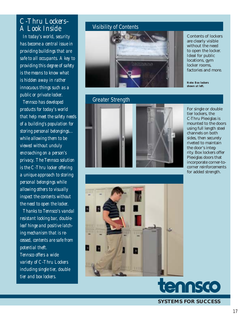## *C-Thru Lockers– A Look Inside*

*In today's world, security has become a central issue in providing buildings that are safe to all occupants. A key to providing this degree of safety is the means to know what is hidden away in rather innocuous things such as a public or private locker.*

*Tennsco has developed products for today's world that help meet the safety needs of a building's population for storing personal belongings... while allowing them to be viewed without unduly encroaching on a person's privacy. The Tennsco solution is the C-Thru locker offering a unique approach to storing personal belongings while allowing others to visually inspect the contents without the need to open the locker.* 

*Thanks to Tennsco's vandal resistant locking bar, doubleleaf hinge and positive latching mechanism that is recessed, contents are safe from potential theft. Tennsco offers a wide variety of C-Thru Lockers including single tier, double tier and box lockers.*

## Visibility of Contents



## Greater Strength





Contents of lockers are clearly visible without the need to open the locker. Ideal for public locations, gym locker rooms, factories and more.

*Note: Box lockers shown at left.*

For single or double tier lockers, the C-Thru Plexiglas is mounted to the doors using full length steel channels on both sides, then securely riveted to maintain the door's integrity. Box lockers offer Plexiglas doors that incorporate corner-tocorner reinforcements for added strength.



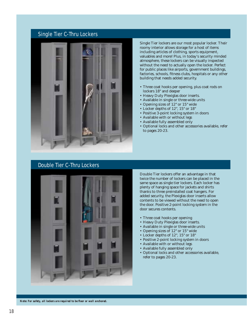### Single Tier C-Thru Lockers



Single Tier lockers are our most popular locker. Their roomy interior allows storage for a host of items including articles of clothing, sports equipment, valuables and more! Plus, in today's security minded atmosphere, these lockers can be visually inspected without the need to actually open the locker. Perfect for public places like airports, government buildings, factories, schools, fitness clubs, hospitals or any other building that needs added security.

- Three coat hooks per opening, plus coat rods on lockers 18" and deeper
- Heavy Duty Plexiglas door inserts.
- Available in single or three-wide units
- Opening sizes of 12" or 15" wide
- Locker depths of 12", 15" or 18"
- Positive 3-point locking system in doors
- Available with or without legs
- Available fully assembled only
- Optional locks and other accessories available, refer to pages 20-23.

## Double Tier C-Thru Lockers



Double Tier lockers offer an advantage in that twice the number of lockers can be placed in the same space as single tier lockers. Each locker has plenty of hanging space for jackets and shirts thanks to three preinstalled coat hangers. For added security, the Plexiglas door inserts allow contents to be viewed without the need to open the door. Positive 2-point locking system in the door secures contents.

- Three coat hooks per opening
- Heavy Duty Plexiglas door inserts.
- Available in single or three-wide units
- Opening sizes of 12" or 15" wide
- Locker depths of 12", 15" or 18"
- Positive 2-point locking system in doors
- Available with or without legs
- Available fully assembled only
- Optional locks and other accessories available, refer to pages 20-23.

*Note: For safety, all lockers are required to be floor or wall anchored.*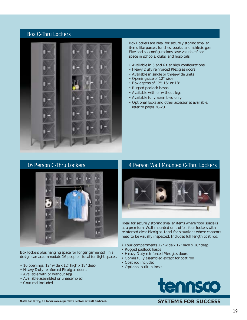### Box C-Thru Lockers



Box Lockers are ideal for securely storing smaller items like purses, lunches, books, and athletic gear. Five and six configurations save valuable floor space in schools, clubs, and hospitals.

- $\bullet$  Available in 5 and 6 tier high configurations
- Heavy Duty reinforced Plexiglas doors
- Available in single or three-wide units
- Opening size of 12" wide
- Box depths of 12", 15" or 18"
- Rugged padlock hasps
- Available with or without legs
- Available fully assembled only
- Optional locks and other accessories available, refer to pages 20-23.



Box lockers plus hanging space for longer garments! This design can accommodate 16 people – ideal for tight spaces.

- 16 openings, 12" wide x 12" high x 18" deep
- Heavy Duty reinforced Plexiglas doors
- Available with or without legs
- Available assembled or unassembled
- Coat rod included

## 16 Person C-Thru Lockers **4 Person Wall Mounted C-Thru Lockers**



Ideal for securely storing smaller items where floor space is at a premium. Wall mounted unit offers four lockers with reinforced clear Plexiglas. Ideal for situations where contents need to be visually inspected. Includes full length coat rod.

- Four compartments 12" wide x 12" high x 18" deep
- Rugged padlock hasps
- Heavy Duty reinforced Plexiglas doors
- Comes fully assembled except for coat rod
- Coat rod included
- Optional built-in locks

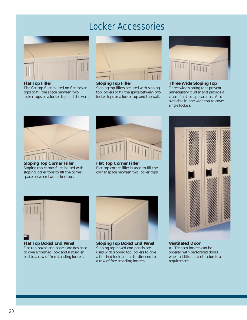

**Flat Top Filler**  The flat top filler is used on flat locker tops to fill the space between two locker tops or a locker top and the wall.



**Sloping Top Filler**  Sloping top fillers are used with sloping top lockers to fill the space between two locker tops or a locker top and the wall.



#### **Three Wide Sloping Top** Three wide sloping tops prevent unnecessary clutter and provide a clean, finished appearance. Also available in one wide top to cover single lockers.



**Sloping Top Corner Filler**  Sloping top corner filler is used with sloping locker tops to fill the corner space between two locker tops.



**Flat Top Corner Filler**  Flat top corner filler is used to fill the corner space between two locker tops.



**Ventilated Door** All Tennsco lockers can be ordered with perforated doors when additional ventilation is a requirement.



**Flat Top Boxed End Panel** Flat top boxed end panels are designed to give a finished look and a sturdier end to a row of free-standing lockers.



**Sloping Top Boxed End Panel** Sloping top boxed end panels are used with sloping top lockers to give a finished look and a sturdier end to a row of free-standing lockers.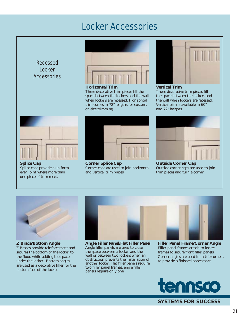Recessed **Locker Accessories** 



**Horizontal Trim**

These decorative trim pieces fill the space between the lockers and the wall when lockers are recessed. Horizontal trim comes in 72" lengths for custom, on-site trimming.



#### **Vertical Trim**

These decorative trim pieces fill the space between the lockers and the wall when lockers are recessed. Vertical trim is available in 60" and 72" heights.



**Splice Cap** Splice caps provide a uniform, even joint where more than one piece of trim meet.



**Corner Splice Cap** Corner caps are used to join horizontal and vertical trim pieces.



**Outside Corner Cap** Outside corner caps are used to join trim pieces and turn a corner.



**Z Brace/Bottom Angle**  Z Braces provide reinforcement and secures the bottom of the locker to the floor, while adding toe-space under the locker. Bottom angles are used as a decorative filler for the bottom face of the locker.



**Angle Filler Panel/Flat Filler Panel**  Angle filler panels are used to close the space between a locker and the wall or between two lockers when an obstruction prevents the installation of another locker. Flat filler panels require two filler panel frames; angle filler panels require only one.

**Filler Panel Frame/Corner Angle** Filler panel frames attach to locker frames to secure front filler panels. Corner angles are used in inside corners to provide a finished appearance.

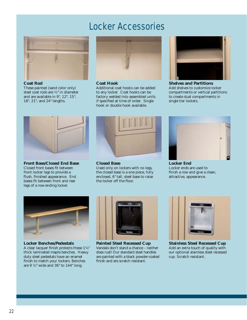

**Coat Rod** 

These painted (sand color only) steel coat rods are ½" in diameter and are available in 9", 12", 15", 18", 21", and 24" lengths.



#### **Coat Hook**

Additional coat hooks can be added to any locker. Coat hooks can be factory welded into assembled units if specified at time of order. Single hook or double hook available.



**Shelves and Partitions**  Add shelves to customize locker compartments or vertical partitions to create dual compartments in single tier lockers.



**Front Base/Closed End Base** Closed front bases fit between front locker legs to provide a flush, finished appearance. End bases fit between front and rear legs of a row-ending locker.



**Closed Base**

Used only on lockers with no legs, the closed base is a one piece, fully enclosed, 6" tall, steel base to raise the locker off the floor.



**Locker End**  Locker ends are used to finish a row and give a clean, attractive, appearance.



**Locker Benches/Pedestals**  A clear lacquer finish protects these  $1\frac{1}{4}$ " thick laminated maple benches. Heavy duty steel pedestals have an enamel finish to match your lockers. Benches are 9 ½" wide and 36" to 144" long.



**Painted Steel Recessed Cup**  Vandals don't stand a chance – neither does rust! Our standard steel handles are painted with a black powder-coated finish and are scratch resistant.



**Stainless Steel Recessed Cup**  Add an extra touch of quality with our optional stainless steel recessed cup. Scratch resistant.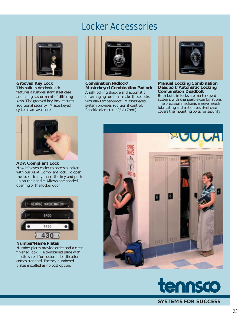

**Grooved Key Lock**  This built-in deadbolt lock features a rust-resistant steel case and a large assortment of differing keys. The grooved key lock ensures additional security. Masterkeyed systems are available.



**Combination Padlock/ Masterkeyed Combination Padlock** A self-locking shackle and automatic disarranging tumblers make these locks virtually tamper-proof. Masterkeyed system provides additional control. Shackle diameter is  $\frac{9}{32}$ " (7mm)



**Manual Locking Combination Deadbolt/ Automatic Locking Combination Deadbolt** Both built-in locks are masterkeyed systems with changeable combinations. The precision mechanism never needs lubricating and a stainless steel case covers the mounting bolts for security.



**ADA Compliant Lock** 

Now it's even easier to access a locker with our ADA Compliant lock. To open the lock, simply insert the key and push up on the handle. Allows one handed opening of the locker door.



**Number/Name Plates**

Number plates provide order and a clean finished look. Field-installed plate with plastic shield for custom identification comes standard. Factory numbered plates installed as no cost option.